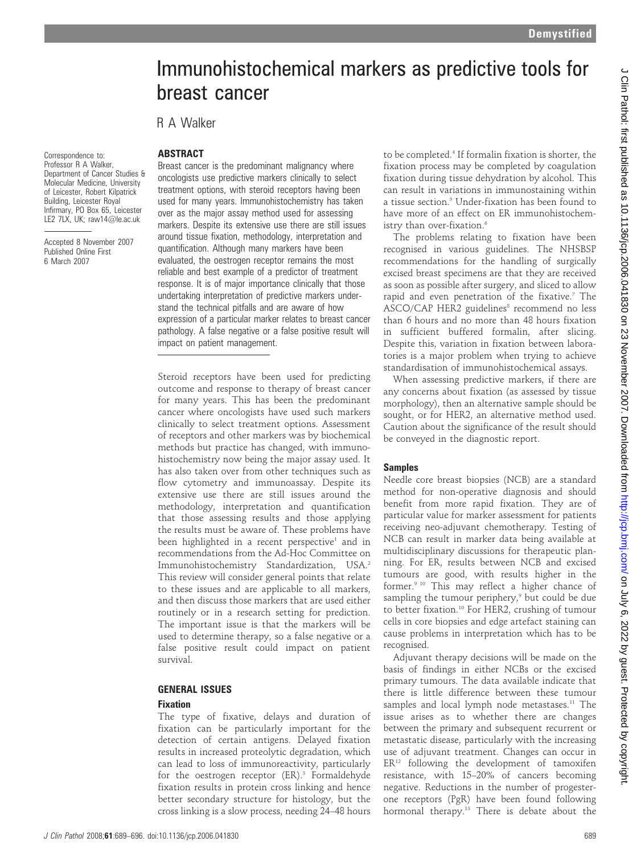# Immunohistochemical markers as predictive tools for to be completed.4 If formalin fixation is shorter, the fixation process may be completed by coagulation fixation during tissue dehydration by alcohol. This can result in variations in immunostaining within a tissue section.<sup>5</sup> Under-fixation has been found to have more of an effect on ER immunohistochemistry than over-fixation.<sup>6</sup> The problems relating to fixation have been recognised in various guidelines. The NHSBSP recommendations for the handling of surgically

excised breast specimens are that they are received as soon as possible after surgery, and sliced to allow rapid and even penetration of the fixative.<sup>7</sup> The ASCO/CAP HER2 guidelines<sup>8</sup> recommend no less than 6 hours and no more than 48 hours fixation in sufficient buffered formalin, after slicing. Despite this, variation in fixation between laboratories is a major problem when trying to achieve standardisation of immunohistochemical assays.

When assessing predictive markers, if there are any concerns about fixation (as assessed by tissue morphology), then an alternative sample should be sought, or for HER2, an alternative method used. Caution about the significance of the result should be conveyed in the diagnostic report.

## Samples

Needle core breast biopsies (NCB) are a standard method for non-operative diagnosis and should benefit from more rapid fixation. They are of particular value for marker assessment for patients receiving neo-adjuvant chemotherapy. Testing of NCB can result in marker data being available at multidisciplinary discussions for therapeutic planning. For ER, results between NCB and excised tumours are good, with results higher in the former.9 10 This may reflect a higher chance of sampling the tumour periphery, $9$  but could be due to better fixation.<sup>10</sup> For HER2, crushing of tumour cells in core biopsies and edge artefact staining can cause problems in interpretation which has to be recognised.

Adjuvant therapy decisions will be made on the basis of findings in either NCBs or the excised primary tumours. The data available indicate that there is little difference between these tumour samples and local lymph node metastases.<sup>11</sup> The issue arises as to whether there are changes between the primary and subsequent recurrent or metastatic disease, particularly with the increasing use of adjuvant treatment. Changes can occur in  $ER^{12}$  following the development of tamoxifen resistance, with 15–20% of cancers becoming negative. Reductions in the number of progesterone receptors (PgR) have been found following hormonal therapy.13 There is debate about the

#### Correspondence to: Professor R A Walker, Department of Cancer Studies & Molecular Medicine, University of Leicester, Robert Kilpatrick Building, Leicester Royal Infirmary, PO Box 65, Leicester LE2 7LX, UK; raw14@le.ac.uk

Accepted 8 November 2007 Published Online First 6 March 2007

## **ABSTRACT**

R A Walker

breast cancer

Breast cancer is the predominant malignancy where oncologists use predictive markers clinically to select treatment options, with steroid receptors having been used for many years. Immunohistochemistry has taken over as the major assay method used for assessing markers. Despite its extensive use there are still issues around tissue fixation, methodology, interpretation and quantification. Although many markers have been evaluated, the oestrogen receptor remains the most reliable and best example of a predictor of treatment response. It is of major importance clinically that those undertaking interpretation of predictive markers understand the technical pitfalls and are aware of how expression of a particular marker relates to breast cancer pathology. A false negative or a false positive result will impact on patient management.

Steroid receptors have been used for predicting outcome and response to therapy of breast cancer for many years. This has been the predominant cancer where oncologists have used such markers clinically to select treatment options. Assessment of receptors and other markers was by biochemical methods but practice has changed, with immunohistochemistry now being the major assay used. It has also taken over from other techniques such as flow cytometry and immunoassay. Despite its extensive use there are still issues around the methodology, interpretation and quantification that those assessing results and those applying the results must be aware of. These problems have been highlighted in a recent perspective<sup>1</sup> and in recommendations from the Ad-Hoc Committee on Immunohistochemistry Standardization, USA.<sup>2</sup> This review will consider general points that relate to these issues and are applicable to all markers, and then discuss those markers that are used either routinely or in a research setting for prediction. The important issue is that the markers will be used to determine therapy, so a false negative or a false positive result could impact on patient survival.

## GENERAL ISSUES

## Fixation

The type of fixative, delays and duration of fixation can be particularly important for the detection of certain antigens. Delayed fixation results in increased proteolytic degradation, which can lead to loss of immunoreactivity, particularly for the oestrogen receptor  $(ER)$ .<sup>3</sup> Formaldehyde fixation results in protein cross linking and hence better secondary structure for histology, but the cross linking is a slow process, needing 24–48 hours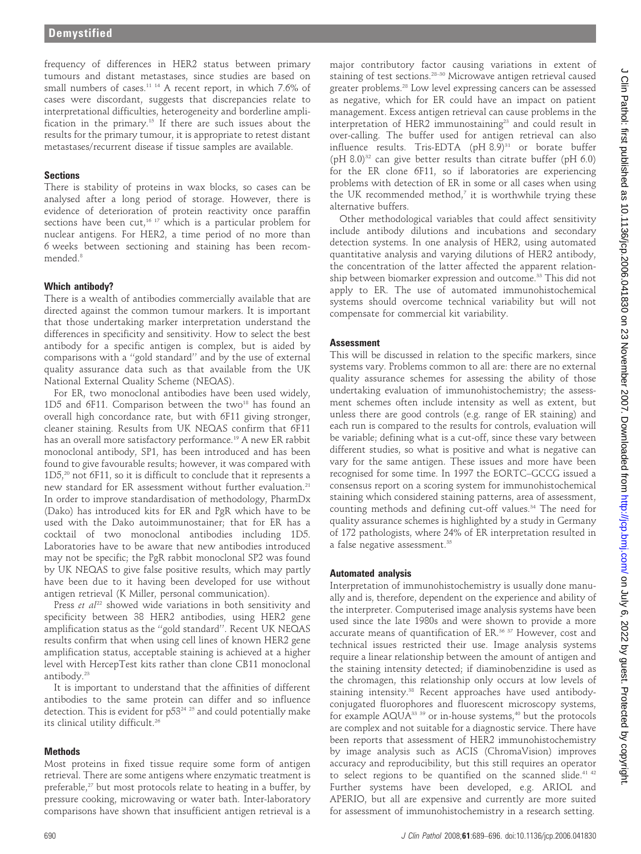frequency of differences in HER2 status between primary tumours and distant metastases, since studies are based on small numbers of cases.<sup>11 14</sup> A recent report, in which 7.6% of cases were discordant, suggests that discrepancies relate to interpretational difficulties, heterogeneity and borderline amplification in the primary.15 If there are such issues about the results for the primary tumour, it is appropriate to retest distant metastases/recurrent disease if tissue samples are available.

## **Sections**

There is stability of proteins in wax blocks, so cases can be analysed after a long period of storage. However, there is evidence of deterioration of protein reactivity once paraffin sections have been cut,<sup>16 17</sup> which is a particular problem for nuclear antigens. For HER2, a time period of no more than 6 weeks between sectioning and staining has been recommended.<sup>8</sup>

## Which antibody?

There is a wealth of antibodies commercially available that are directed against the common tumour markers. It is important that those undertaking marker interpretation understand the differences in specificity and sensitivity. How to select the best antibody for a specific antigen is complex, but is aided by comparisons with a ''gold standard'' and by the use of external quality assurance data such as that available from the UK National External Quality Scheme (NEQAS).

For ER, two monoclonal antibodies have been used widely, 1D5 and 6F11. Comparison between the two<sup>18</sup> has found an overall high concordance rate, but with 6F11 giving stronger, cleaner staining. Results from UK NEQAS confirm that 6F11 has an overall more satisfactory performance.<sup>19</sup> A new ER rabbit monoclonal antibody, SP1, has been introduced and has been found to give favourable results; however, it was compared with  $1D5<sup>20</sup>$  not 6F11, so it is difficult to conclude that it represents a new standard for ER assessment without further evaluation.<sup>21</sup> In order to improve standardisation of methodology, PharmDx (Dako) has introduced kits for ER and PgR which have to be used with the Dako autoimmunostainer; that for ER has a cocktail of two monoclonal antibodies including 1D5. Laboratories have to be aware that new antibodies introduced may not be specific; the PgR rabbit monoclonal SP2 was found by UK NEQAS to give false positive results, which may partly have been due to it having been developed for use without antigen retrieval (K Miller, personal communication).

Press et  $al^{22}$  showed wide variations in both sensitivity and specificity between 38 HER2 antibodies, using HER2 gene amplification status as the ''gold standard''. Recent UK NEQAS results confirm that when using cell lines of known HER2 gene amplification status, acceptable staining is achieved at a higher level with HercepTest kits rather than clone CB11 monoclonal antibody.<sup>23</sup>

It is important to understand that the affinities of different antibodies to the same protein can differ and so influence detection. This is evident for p53<sup>24 25</sup> and could potentially make its clinical utility difficult.<sup>26</sup>

## **Methods**

Most proteins in fixed tissue require some form of antigen retrieval. There are some antigens where enzymatic treatment is preferable,<sup>27</sup> but most protocols relate to heating in a buffer, by pressure cooking, microwaving or water bath. Inter-laboratory comparisons have shown that insufficient antigen retrieval is a

major contributory factor causing variations in extent of staining of test sections.28–30 Microwave antigen retrieval caused greater problems.28 Low level expressing cancers can be assessed as negative, which for ER could have an impact on patient management. Excess antigen retrieval can cause problems in the interpretation of HER2 immunostaining<sup>23</sup> and could result in over-calling. The buffer used for antigen retrieval can also influence results. Tris-EDTA ( $pH$  8.9) $31$  or borate buffer (pH 8.0)<sup>32</sup> can give better results than citrate buffer (pH  $6.0$ ) for the ER clone 6F11, so if laboratories are experiencing problems with detection of ER in some or all cases when using the UK recommended method, $\bar{z}$  it is worthwhile trying these alternative buffers.

Other methodological variables that could affect sensitivity include antibody dilutions and incubations and secondary detection systems. In one analysis of HER2, using automated quantitative analysis and varying dilutions of HER2 antibody, the concentration of the latter affected the apparent relationship between biomarker expression and outcome.33 This did not apply to ER. The use of automated immunohistochemical systems should overcome technical variability but will not compensate for commercial kit variability.

## **Assessment**

This will be discussed in relation to the specific markers, since systems vary. Problems common to all are: there are no external quality assurance schemes for assessing the ability of those undertaking evaluation of immunohistochemistry; the assessment schemes often include intensity as well as extent, but unless there are good controls (e.g. range of ER staining) and each run is compared to the results for controls, evaluation will be variable; defining what is a cut-off, since these vary between different studies, so what is positive and what is negative can vary for the same antigen. These issues and more have been recognised for some time. In 1997 the EORTC–GCCG issued a consensus report on a scoring system for immunohistochemical staining which considered staining patterns, area of assessment, counting methods and defining cut-off values.<sup>34</sup> The need for quality assurance schemes is highlighted by a study in Germany of 172 pathologists, where 24% of ER interpretation resulted in a false negative assessment.<sup>35</sup>

## Automated analysis

Interpretation of immunohistochemistry is usually done manually and is, therefore, dependent on the experience and ability of the interpreter. Computerised image analysis systems have been used since the late 1980s and were shown to provide a more accurate means of quantification of ER.<sup>36 37</sup> However, cost and technical issues restricted their use. Image analysis systems require a linear relationship between the amount of antigen and the staining intensity detected; if diaminobenzidine is used as the chromagen, this relationship only occurs at low levels of staining intensity.38 Recent approaches have used antibodyconjugated fluorophores and fluorescent microscopy systems, for example AQUA<sup>33 39</sup> or in-house systems,<sup>40</sup> but the protocols are complex and not suitable for a diagnostic service. There have been reports that assessment of HER2 immunohistochemistry by image analysis such as ACIS (ChromaVision) improves accuracy and reproducibility, but this still requires an operator to select regions to be quantified on the scanned slide.<sup>41 42</sup> Further systems have been developed, e.g. ARIOL and APERIO, but all are expensive and currently are more suited for assessment of immunohistochemistry in a research setting.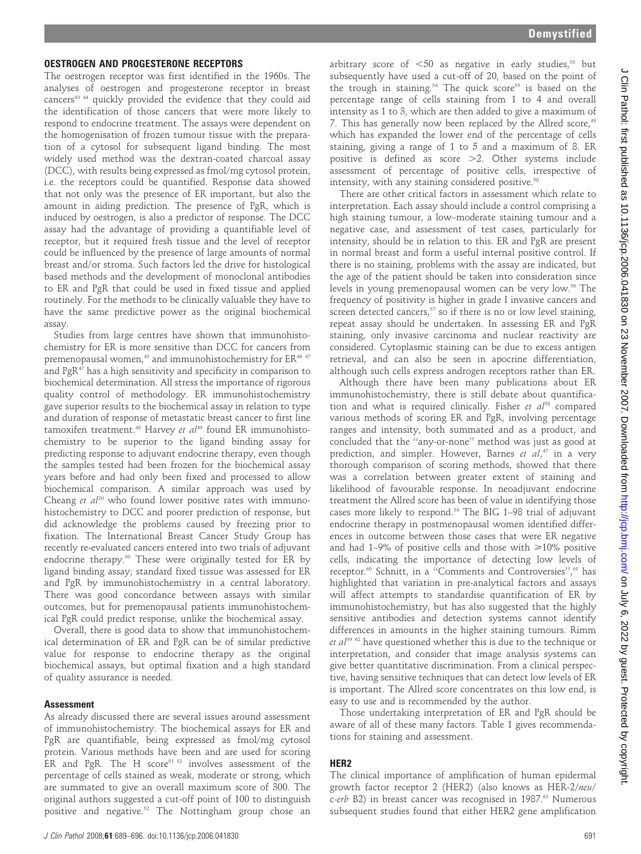## OESTROGEN AND PROGESTERONE RECEPTORS

The oestrogen receptor was first identified in the 1960s. The analyses of oestrogen and progesterone receptor in breast cancers<sup>43 44</sup> quickly provided the evidence that they could aid the identification of those cancers that were more likely to respond to endocrine treatment. The assays were dependent on the homogenisation of frozen tumour tissue with the preparation of a cytosol for subsequent ligand binding. The most widely used method was the dextran-coated charcoal assay (DCC), with results being expressed as fmol/mg cytosol protein, i.e. the receptors could be quantified. Response data showed that not only was the presence of ER important, but also the amount in aiding prediction. The presence of PgR, which is induced by oestrogen, is also a predictor of response. The DCC assay had the advantage of providing a quantifiable level of receptor, but it required fresh tissue and the level of receptor could be influenced by the presence of large amounts of normal breast and/or stroma. Such factors led the drive for histological based methods and the development of monoclonal antibodies to ER and PgR that could be used in fixed tissue and applied routinely. For the methods to be clinically valuable they have to have the same predictive power as the original biochemical assay.

Studies from large centres have shown that immunohistochemistry for ER is more sensitive than DCC for cancers from premenopausal women, $45$  and immunohistochemistry for ER $46$   $47$ and PgR<sup>47</sup> has a high sensitivity and specificity in comparison to biochemical determination. All stress the importance of rigorous quality control of methodology. ER immunohistochemistry gave superior results to the biochemical assay in relation to type and duration of response of metastatic breast cancer to first line tamoxifen treatment.<sup>48</sup> Harvey et  $al^{49}$  found ER immunohistochemistry to be superior to the ligand binding assay for predicting response to adjuvant endocrine therapy, even though the samples tested had been frozen for the biochemical assay years before and had only been fixed and processed to allow biochemical comparison. A similar approach was used by Cheang et  $d^{20}$  who found lower positive rates with immunohistochemistry to DCC and poorer prediction of response, but did acknowledge the problems caused by freezing prior to fixation. The International Breast Cancer Study Group has recently re-evaluated cancers entered into two trials of adjuvant endocrine therapy.<sup>50</sup> These were originally tested for ER by ligand binding assay; standard fixed tissue was assessed for ER and PgR by immunohistochemistry in a central laboratory. There was good concordance between assays with similar outcomes, but for premenopausal patients immunohistochemical PgR could predict response, unlike the biochemical assay.

Overall, there is good data to show that immunohistochemical determination of ER and PgR can be of similar predictive value for response to endocrine therapy as the original biochemical assays, but optimal fixation and a high standard of quality assurance is needed.

## Assessment

As already discussed there are several issues around assessment of immunohistochemistry. The biochemical assays for ER and PgR are quantifiable, being expressed as fmol/mg cytosol protein. Various methods have been and are used for scoring ER and PgR. The H score<sup>51 52</sup> involves assessment of the percentage of cells stained as weak, moderate or strong, which are summated to give an overall maximum score of 300. The original authors suggested a cut-off point of 100 to distinguish positive and negative.52 The Nottingham group chose an

arbitrary score of  $< 50$  as negative in early studies,<sup>53</sup> but subsequently have used a cut-off of 20, based on the point of the trough in staining.<sup>54</sup> The quick score<sup>55</sup> is based on the percentage range of cells staining from 1 to 4 and overall intensity as 1 to 3, which are then added to give a maximum of 7. This has generally now been replaced by the Allred score,<sup>49</sup> which has expanded the lower end of the percentage of cells staining, giving a range of 1 to 5 and a maximum of 8. ER positive is defined as score  $>2$ . Other systems include assessment of percentage of positive cells, irrespective of intensity, with any staining considered positive.<sup>50</sup>

There are other critical factors in assessment which relate to interpretation. Each assay should include a control comprising a high staining tumour, a low–moderate staining tumour and a negative case, and assessment of test cases, particularly for intensity, should be in relation to this. ER and PgR are present in normal breast and form a useful internal positive control. If there is no staining, problems with the assay are indicated, but the age of the patient should be taken into consideration since levels in young premenopausal women can be very low.<sup>56</sup> The frequency of positivity is higher in grade I invasive cancers and screen detected cancers, $57$  so if there is no or low level staining, repeat assay should be undertaken. In assessing ER and PgR staining, only invasive carcinoma and nuclear reactivity are considered. Cytoplasmic staining can be due to excess antigen retrieval, and can also be seen in apocrine differentiation, although such cells express androgen receptors rather than ER.

Although there have been many publications about ER immunohistochemistry, there is still debate about quantification and what is required clinically. Fisher et  $a^{f58}$  compared various methods of scoring ER and PgR, involving percentage ranges and intensity, both summated and as a product, and concluded that the ''any-or-none'' method was just as good at prediction, and simpler. However, Barnes et al,<sup>47</sup> in a very thorough comparison of scoring methods, showed that there was a correlation between greater extent of staining and likelihood of favourable response. In neoadjuvant endocrine treatment the Allred score has been of value in identifying those cases more likely to respond.<sup>59</sup> The BIG 1-98 trial of adjuvant endocrine therapy in postmenopausal women identified differences in outcome between those cases that were ER negative and had 1–9% of positive cells and those with  $\geq 10\%$  positive cells, indicating the importance of detecting low levels of receptor.<sup>60</sup> Schnitt, in a "Comments and Controversies",<sup>61</sup> has highlighted that variation in pre-analytical factors and assays will affect attempts to standardise quantification of ER by immunohistochemistry, but has also suggested that the highly sensitive antibodies and detection systems cannot identify differences in amounts in the higher staining tumours. Rimm et  $aI^{39}$  62 have questioned whether this is due to the technique or interpretation, and consider that image analysis systems can give better quantitative discrimination. From a clinical perspective, having sensitive techniques that can detect low levels of ER is important. The Allred score concentrates on this low end, is easy to use and is recommended by the author.

Those undertaking interpretation of ER and PgR should be aware of all of these many factors. Table 1 gives recommendations for staining and assessment.

## HER2

The clinical importance of amplification of human epidermal growth factor receptor 2 (HER2) (also knows as HER-2/neu/ c-erb B2) in breast cancer was recognised in 1987. $63$  Numerous subsequent studies found that either HER2 gene amplification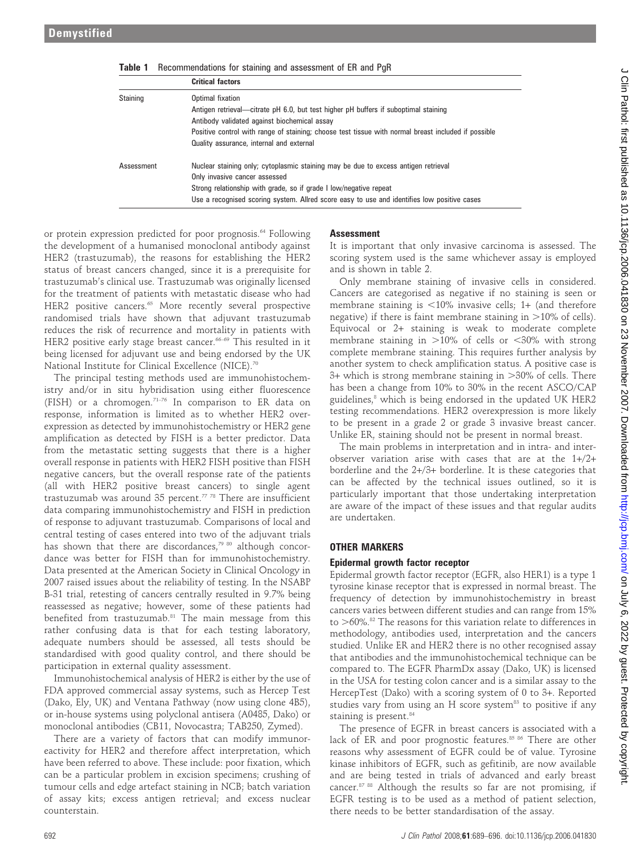|            | <b>Critical factors</b>                                                                             |  |  |
|------------|-----------------------------------------------------------------------------------------------------|--|--|
| Staining   | Optimal fixation                                                                                    |  |  |
|            | Antigen retrieval—citrate pH 6.0, but test higher pH buffers if suboptimal staining                 |  |  |
|            | Antibody validated against biochemical assay                                                        |  |  |
|            | Positive control with range of staining; choose test tissue with normal breast included if possible |  |  |
|            | Quality assurance, internal and external                                                            |  |  |
| Assessment | Nuclear staining only; cytoplasmic staining may be due to excess antigen retrieval                  |  |  |
|            | Only invasive cancer assessed                                                                       |  |  |
|            | Strong relationship with grade, so if grade I low/negative repeat                                   |  |  |
|            | Use a recognised scoring system. Allred score easy to use and identifies low positive cases         |  |  |

Recommendations for staining and assessment of ER and PgR

or protein expression predicted for poor prognosis.<sup>64</sup> Following the development of a humanised monoclonal antibody against HER2 (trastuzumab), the reasons for establishing the HER2 status of breast cancers changed, since it is a prerequisite for trastuzumab's clinical use. Trastuzumab was originally licensed for the treatment of patients with metastatic disease who had HER2 positive cancers.<sup>65</sup> More recently several prospective randomised trials have shown that adjuvant trastuzumab reduces the risk of recurrence and mortality in patients with HER2 positive early stage breast cancer.<sup>66-69</sup> This resulted in it being licensed for adjuvant use and being endorsed by the UK National Institute for Clinical Excellence (NICE).<sup>70</sup>

The principal testing methods used are immunohistochemistry and/or in situ hybridisation using either fluorescence (FISH) or a chromogen.71–76 In comparison to ER data on response, information is limited as to whether HER2 overexpression as detected by immunohistochemistry or HER2 gene amplification as detected by FISH is a better predictor. Data from the metastatic setting suggests that there is a higher overall response in patients with HER2 FISH positive than FISH negative cancers, but the overall response rate of the patients (all with HER2 positive breast cancers) to single agent trastuzumab was around 35 percent.<sup>77</sup> 78 There are insufficient data comparing immunohistochemistry and FISH in prediction of response to adjuvant trastuzumab. Comparisons of local and central testing of cases entered into two of the adjuvant trials has shown that there are discordances,<sup>79 80</sup> although concordance was better for FISH than for immunohistochemistry. Data presented at the American Society in Clinical Oncology in 2007 raised issues about the reliability of testing. In the NSABP B-31 trial, retesting of cancers centrally resulted in 9.7% being reassessed as negative; however, some of these patients had benefited from trastuzumab.<sup>81</sup> The main message from this rather confusing data is that for each testing laboratory, adequate numbers should be assessed, all tests should be standardised with good quality control, and there should be participation in external quality assessment.

Immunohistochemical analysis of HER2 is either by the use of FDA approved commercial assay systems, such as Hercep Test (Dako, Ely, UK) and Ventana Pathway (now using clone 4B5), or in-house systems using polyclonal antisera (A0485, Dako) or monoclonal antibodies (CB11, Novocastra; TAB250, Zymed).

There are a variety of factors that can modify immunoreactivity for HER2 and therefore affect interpretation, which have been referred to above. These include: poor fixation, which can be a particular problem in excision specimens; crushing of tumour cells and edge artefact staining in NCB; batch variation of assay kits; excess antigen retrieval; and excess nuclear counterstain.

## Assessment

It is important that only invasive carcinoma is assessed. The scoring system used is the same whichever assay is employed and is shown in table 2.

Only membrane staining of invasive cells in considered. Cancers are categorised as negative if no staining is seen or membrane staining is  $\langle 10\%$  invasive cells; 1+ (and therefore negative) if there is faint membrane staining in  $>10\%$  of cells). Equivocal or 2+ staining is weak to moderate complete membrane staining in  $>10\%$  of cells or <30% with strong complete membrane staining. This requires further analysis by another system to check amplification status. A positive case is  $3+$  which is strong membrane staining in  $>30\%$  of cells. There has been a change from 10% to 30% in the recent ASCO/CAP guidelines,<sup>8</sup> which is being endorsed in the updated UK HER2 testing recommendations. HER2 overexpression is more likely to be present in a grade 2 or grade 3 invasive breast cancer. Unlike ER, staining should not be present in normal breast.

The main problems in interpretation and in intra- and interobserver variation arise with cases that are at the 1+/2+ borderline and the 2+/3+ borderline. It is these categories that can be affected by the technical issues outlined, so it is particularly important that those undertaking interpretation are aware of the impact of these issues and that regular audits are undertaken.

## OTHER MARKERS

## Epidermal growth factor receptor

Epidermal growth factor receptor (EGFR, also HER1) is a type 1 tyrosine kinase receptor that is expressed in normal breast. The frequency of detection by immunohistochemistry in breast cancers varies between different studies and can range from 15% to  $>60\%$ .<sup>82</sup> The reasons for this variation relate to differences in methodology, antibodies used, interpretation and the cancers studied. Unlike ER and HER2 there is no other recognised assay that antibodies and the immunohistochemical technique can be compared to. The EGFR PharmDx assay (Dako, UK) is licensed in the USA for testing colon cancer and is a similar assay to the HercepTest (Dako) with a scoring system of 0 to 3+. Reported studies vary from using an H score system<sup>83</sup> to positive if any staining is present.<sup>84</sup>

The presence of EGFR in breast cancers is associated with a lack of ER and poor prognostic features.<sup>85 86</sup> There are other reasons why assessment of EGFR could be of value. Tyrosine kinase inhibitors of EGFR, such as gefitinib, are now available and are being tested in trials of advanced and early breast cancer.87 88 Although the results so far are not promising, if EGFR testing is to be used as a method of patient selection, there needs to be better standardisation of the assay.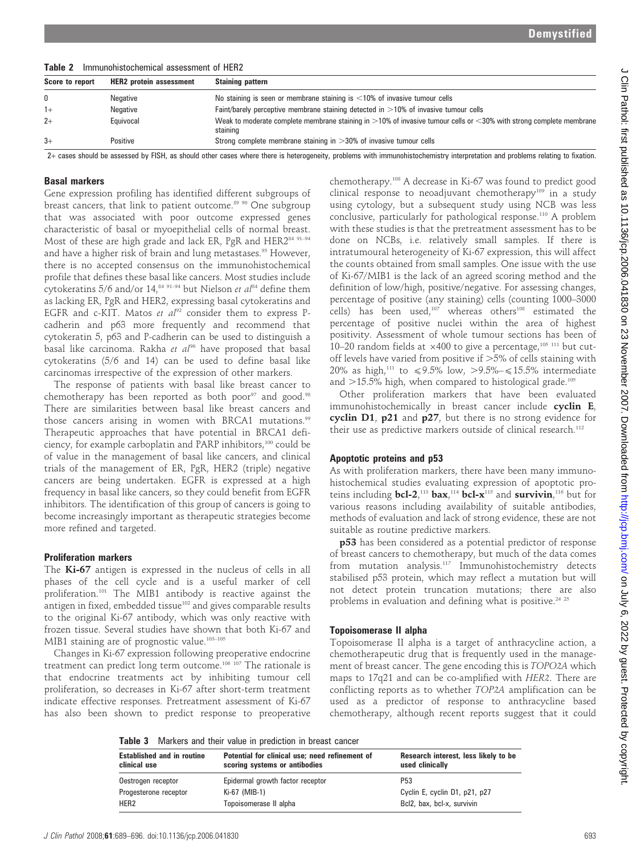| Score to report | <b>HER2</b> protein assessment | <b>Staining pattern</b>                                                                                                              |
|-----------------|--------------------------------|--------------------------------------------------------------------------------------------------------------------------------------|
|                 | Negative                       | No staining is seen or membrane staining is $\langle 10\%$ of invasive tumour cells                                                  |
|                 | Negative                       | Faint/barely perceptive membrane staining detected in $>10\%$ of invasive tumour cells                                               |
| $2+$            | Equivocal                      | Weak to moderate complete membrane staining in $>$ 10% of invasive tumour cells or $<$ 30% with strong complete membrane<br>staining |
| $3+$            | Positive                       | Strong complete membrane staining in $>30\%$ of invasive tumour cells                                                                |

#### Table 2 Immunohistochemical assessment of HER2

2+ cases should be assessed by FISH, as should other cases where there is heterogeneity, problems with immunohistochemistry interpretation and problems relating to fixation.

## Basal markers

Gene expression profiling has identified different subgroups of breast cancers, that link to patient outcome.<sup>89 90</sup> One subgroup that was associated with poor outcome expressed genes characteristic of basal or myoepithelial cells of normal breast. Most of these are high grade and lack ER, PgR and HER2<sup>84 91-94</sup> and have a higher risk of brain and lung metastases.<sup>95</sup> However, there is no accepted consensus on the immunohistochemical profile that defines these basal like cancers. Most studies include cytokeratins 5/6 and/or 14,<sup>84 91-94</sup> but Nielson et  $al^{84}$  define them as lacking ER, PgR and HER2, expressing basal cytokeratins and EGFR and c-KIT. Matos et  $al^{92}$  consider them to express Pcadherin and p63 more frequently and recommend that cytokeratin 5, p63 and P-cadherin can be used to distinguish a basal like carcinoma. Rakha et  $al^{96}$  have proposed that basal cytokeratins (5/6 and 14) can be used to define basal like carcinomas irrespective of the expression of other markers.

The response of patients with basal like breast cancer to chemotherapy has been reported as both poor<sup>97</sup> and good.<sup>98</sup> There are similarities between basal like breast cancers and those cancers arising in women with BRCA1 mutations.<sup>99</sup> Therapeutic approaches that have potential in BRCA1 deficiency, for example carboplatin and PARP inhibitors,<sup>100</sup> could be of value in the management of basal like cancers, and clinical trials of the management of ER, PgR, HER2 (triple) negative cancers are being undertaken. EGFR is expressed at a high frequency in basal like cancers, so they could benefit from EGFR inhibitors. The identification of this group of cancers is going to become increasingly important as therapeutic strategies become more refined and targeted.

## Proliferation markers

The Ki-67 antigen is expressed in the nucleus of cells in all phases of the cell cycle and is a useful marker of cell proliferation.101 The MIB1 antibody is reactive against the antigen in fixed, embedded tissue<sup>102</sup> and gives comparable results to the original Ki-67 antibody, which was only reactive with frozen tissue. Several studies have shown that both Ki-67 and MIB1 staining are of prognostic value.<sup>103-105</sup>

Changes in Ki-67 expression following preoperative endocrine treatment can predict long term outcome.106 107 The rationale is that endocrine treatments act by inhibiting tumour cell proliferation, so decreases in Ki-67 after short-term treatment indicate effective responses. Pretreatment assessment of Ki-67 has also been shown to predict response to preoperative

chemotherapy.108 A decrease in Ki-67 was found to predict good clinical response to neoadjuvant chemotherapy<sup>109</sup> in a study using cytology, but a subsequent study using NCB was less conclusive, particularly for pathological response.<sup>110</sup> A problem with these studies is that the pretreatment assessment has to be done on NCBs, i.e. relatively small samples. If there is intratumoural heterogeneity of Ki-67 expression, this will affect the counts obtained from small samples. One issue with the use of Ki-67/MIB1 is the lack of an agreed scoring method and the definition of low/high, positive/negative. For assessing changes, percentage of positive (any staining) cells (counting 1000–3000 cells) has been used,<sup>107</sup> whereas others<sup>108</sup> estimated the percentage of positive nuclei within the area of highest positivity. Assessment of whole tumour sections has been of 10–20 random fields at  $\times$ 400 to give a percentage,<sup>105 111</sup> but cutoff levels have varied from positive if  $>5\%$  of cells staining with 20% as high,<sup>111</sup> to  $\leq 9.5\%$  low,  $>9.5\%$  =  $\leq 15.5\%$  intermediate and  $>15.5\%$  high, when compared to histological grade.<sup>105</sup>

Other proliferation markers that have been evaluated immunohistochemically in breast cancer include cyclin E, cyclin D1, p21 and p27, but there is no strong evidence for their use as predictive markers outside of clinical research.<sup>112</sup>

## Apoptotic proteins and p53

As with proliferation markers, there have been many immunohistochemical studies evaluating expression of apoptotic proteins including **bcl-2**,<sup>113</sup> **bax**,<sup>114</sup> **bcl-x**<sup>115</sup> and **survivin**,<sup>116</sup> but for various reasons including availability of suitable antibodies, methods of evaluation and lack of strong evidence, these are not suitable as routine predictive markers.

p53 has been considered as a potential predictor of response of breast cancers to chemotherapy, but much of the data comes from mutation analysis.<sup>117</sup> Immunohistochemistry detects stabilised p53 protein, which may reflect a mutation but will not detect protein truncation mutations; there are also problems in evaluation and defining what is positive.<sup>24 25</sup>

## Topoisomerase II alpha

Topoisomerase II alpha is a target of anthracycline action, a chemotherapeutic drug that is frequently used in the management of breast cancer. The gene encoding this is TOPO2A which maps to 17q21 and can be co-amplified with HER2. There are conflicting reports as to whether TOP2A amplification can be used as a predictor of response to anthracycline based chemotherapy, although recent reports suggest that it could

Table 3 Markers and their value in prediction in breast cancer

| <b>Established and in routine</b><br>clinical use | Potential for clinical use: need refinement of<br>scoring systems or antibodies | Research interest, less likely to be<br>used clinically |
|---------------------------------------------------|---------------------------------------------------------------------------------|---------------------------------------------------------|
| Oestrogen receptor                                | Epidermal growth factor receptor                                                | P <sub>53</sub>                                         |
| Progesterone receptor                             | Ki-67 (MIB-1)                                                                   | Cyclin E, cyclin D1, p21, p27                           |
| HER2                                              | Topoisomerase II alpha                                                          | Bcl2, bax, bcl-x, survivin                              |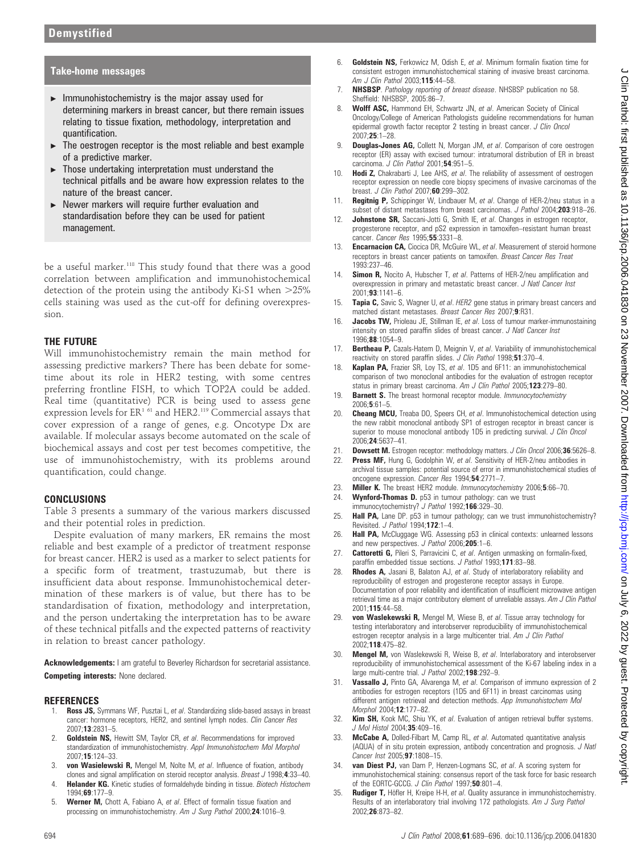## Take-home messages

- $\blacktriangleright$  Immunohistochemistry is the major assay used for determining markers in breast cancer, but there remain issues relating to tissue fixation, methodology, interpretation and quantification.
- $\blacktriangleright$  The oestrogen receptor is the most reliable and best example of a predictive marker.
- $\blacktriangleright$  Those undertaking interpretation must understand the technical pitfalls and be aware how expression relates to the nature of the breast cancer.
- $\triangleright$  Newer markers will require further evaluation and standardisation before they can be used for patient management.

be a useful marker.<sup>118</sup> This study found that there was a good correlation between amplification and immunohistochemical detection of the protein using the antibody Ki-S1 when  $>25\%$ cells staining was used as the cut-off for defining overexpression.

## THE FUTURE

Will immunohistochemistry remain the main method for assessing predictive markers? There has been debate for sometime about its role in HER2 testing, with some centres preferring frontline FISH, to which TOP2A could be added. Real time (quantitative) PCR is being used to assess gene expression levels for  $ER^{1.61}$  and HER2.<sup>119</sup> Commercial assays that cover expression of a range of genes, e.g. Oncotype Dx are available. If molecular assays become automated on the scale of biochemical assays and cost per test becomes competitive, the use of immunohistochemistry, with its problems around quantification, could change.

## CONCLUSIONS

Table 3 presents a summary of the various markers discussed and their potential roles in prediction.

Despite evaluation of many markers, ER remains the most reliable and best example of a predictor of treatment response for breast cancer. HER2 is used as a marker to select patients for a specific form of treatment, trastuzumab, but there is insufficient data about response. Immunohistochemical determination of these markers is of value, but there has to be standardisation of fixation, methodology and interpretation, and the person undertaking the interpretation has to be aware of these technical pitfalls and the expected patterns of reactivity in relation to breast cancer pathology.

Acknowledgements: I am grateful to Beverley Richardson for secretarial assistance. Competing interests: None declared.

#### REFERENCES

- Ross JS, Symmans WF, Pusztai L, et al. Standardizing slide-based assays in breast cancer: hormone receptors, HER2, and sentinel lymph nodes. Clin Cancer Res 2007;13:2831–5.
- 2. **Goldstein NS,** Hewitt SM, Taylor CR, et al. Recommendations for improved standardization of immunohistochemistry. Appl Immunohistochem Mol Morphol 2007;15:124–33.
- 3. von Wasielewski R, Mengel M, Nolte M, et al. Influence of fixation, antibody clones and signal amplification on steroid receptor analysis. Breast J 1998;4:33–40. 4. **Helander KG.** Kinetic studies of formaldehyde binding in tissue. Biotech Histochem
- 1994;69:177–9. 5. Werner M, Chott A, Fabiano A, et al. Effect of formalin tissue fixation and processing on immunohistochemistry. Am J Surg Pathol 2000;24:1016-9.
- 6. Goldstein NS, Ferkowicz M, Odish E, et al. Minimum formalin fixation time for consistent estrogen immunohistochemical staining of invasive breast carcinoma. Am J Clin Pathol 2003;115:44-58.
- 7. NHSBSP. Pathology reporting of breast disease. NHSBSP publication no 58. Sheffield: NHSBSP, 2005:86–7.
- 8. Wolff ASC, Hammond EH, Schwartz JN, et al. American Society of Clinical Oncology/College of American Pathologists guideline recommendations for human epidermal growth factor receptor 2 testing in breast cancer. J Clin Oncol 2007;25:1–28.
- 9. **Douglas-Jones AG, Collett N, Morgan JM, et al. Comparison of core oestrogen** receptor (ER) assay with excised tumour: intratumoral distribution of ER in breast carcinoma. J Clin Pathol 2001:54:951-5.
- 10. **Hodi Z,** Chakrabarti J, Lee AHS, et al. The reliability of assessment of oestrogen receptor expression on needle core biopsy specimens of invasive carcinomas of the breast. *J Clin Pathol* 2007;**60**:299–302.
- 11. **Regitnig P,** Schippinger W, Lindbauer M, et al. Change of HER-2/neu status in a subset of distant metastases from breast carcinomas. J Pathol 2004;203:918-26.
- 12. **Johnstone SR,** Saccani-Jotti G, Smith IE, et al. Changes in estrogen receptor, progesterone receptor, and pS2 expression in tamoxifen–resistant human breast cancer. Cancer Res 1995; 55:3331-8.
- 13. **Encarnacion CA,** Ciocica DR, McGuire WL, et al. Measurement of steroid hormone receptors in breast cancer patients on tamoxifen. Breast Cancer Res Treat 1993:237–46.
- 14. Simon R, Nocito A, Hubscher T, et al. Patterns of HER-2/neu amplification and overexpression in primary and metastatic breast cancer. J Natl Cancer Inst 2001;93:1141–6.
- 15. Tapia C, Savic S, Wagner U, et al. HER2 gene status in primary breast cancers and matched distant metastases. Breast Cancer Res 2007;9:R31.
- 16. Jacobs TW, Prioleau JE, Stillman IE, et al. Loss of tumour marker-immunostaining intensity on stored paraffin slides of breast cancer. J Natl Cancer Inst 1996;88:1054–9.
- 17. Bertheau P, Cazals-Hatem D, Meignin V, et al. Variability of immunohistochemical reactivity on stored paraffin slides. J Clin Pathol 1998;51:370-4.
- Kaplan PA, Frazier SR, Loy TS, et al. 1D5 and 6F11: an immunohistochemical comparison of two monoclonal antibodies for the evaluation of estrogen receptor status in primary breast carcinoma. Am J Clin Pathol 2005;123:279-80.
- 19. **Barnett S.** The breast hormonal receptor module. Immunocytochemistry 2006;5:61–5.
- 20. Cheang MCU, Treaba DO, Speers CH, et al. Immunohistochemical detection using the new rabbit monoclonal antibody SP1 of estrogen receptor in breast cancer is superior to mouse monoclonal antibody 1D5 in predicting survival. J Clin Oncol 2006;24:5637–41.
- 21. **Dowsett M.** Estrogen receptor: methodology matters. J Clin Oncol 2006;36:5626-8.
- 22. Press MF, Hung G, Godolphin W, et al. Sensitivity of HER-2/neu antibodies in archival tissue samples: potential source of error in immunohistochemical studies of oncogene expression. Cancer Res 1994;54:2771–7.
- 23. Miller K. The breast HER2 module. Immunocytochemistry 2006;5:66-70.
- 24. Wynford-Thomas D. p53 in tumour pathology: can we trust
- immunocytochemistry? J Pathol 1992;166:329–30.
- 25. Hall PA, Lane DP. p53 in tumour pathology; can we trust immunohistochemistry? Revisited. J Pathol 1994;172:1–4.
- 26. Hall PA, McCluggage WG. Assessing p53 in clinical contexts: unlearned lessons and new perspectives. J Pathol 2006;205:1-6.
- 27. Cattoretti G, Pileri S, Parravicini C, et al. Antigen unmasking on formalin-fixed, paraffin embedded tissue sections. J Pathol 1993;171:83-98.
- 28. Rhodes A, Jasani B, Balaton AJ, et al. Study of interlaboratory reliability and reproducibility of estrogen and progesterone receptor assays in Europe. Documentation of poor reliability and identification of insufficient microwave antigen retrieval time as a major contributory element of unreliable assays. Am J Clin Pathol 2001;115:44–58.
- 29. von Waslekewski R, Mengel M, Wiese B, et al. Tissue array technology for testing interlaboratory and interobserver reproducibility of immunohistochemical estrogen receptor analysis in a large multicenter trial. Am J Clin Pathol 2002;118:475–82.
- 30. Mengel M, von Waslekewski R, Weise B, et al. Interlaboratory and interobserver reproducibility of immunohistochemical assessment of the Ki-67 labeling index in a large multi-centre trial. J Pathol 2002:198:292-9.
- 31. Vassallo J, Pinto GA, Alvarenga M, et al. Comparison of immuno expression of 2 antibodies for estrogen receptors (1D5 and 6F11) in breast carcinomas using different antigen retrieval and detection methods. App Immunohistochem Mol Morphol 2004;12:177–82.
- 32. Kim SH, Kook MC, Shiu YK, et al. Evaluation of antigen retrieval buffer systems. J Mol Histol 2004;35:409–16.
- 33. McCabe A, Dolled-Filbart M, Camp RL, et al. Automated quantitative analysis (AQUA) of in situ protein expression, antibody concentration and prognosis. J Natl Cancer Inst 2005;97:1808–15.
- van Diest PJ, van Dam P, Henzen-Logmans SC, et al. A scoring system for immunohistochemical staining: consensus report of the task force for basic research of the EORTC-GCCG. J Clin Pathol 1997;50:801-4.
- 35. Rudiger T, Höfler H, Kreipe H-H, et al. Quality assurance in immunohistochemistry. Results of an interlaboratory trial involving 172 pathologists. Am J Surg Pathol 2002;26:873–82.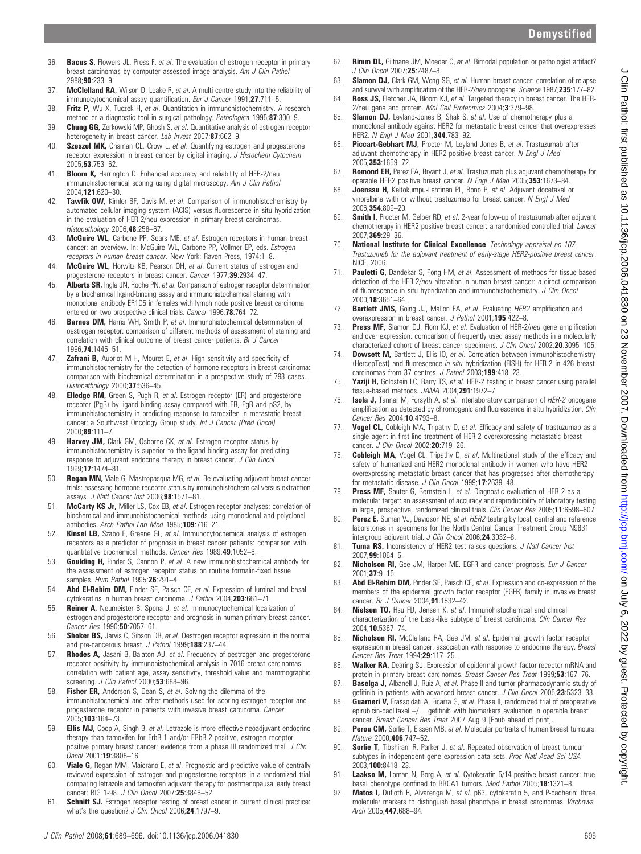- 36. **Bacus S,** Flowers JL, Press F, et al. The evaluation of estrogen receptor in primary breast carcinomas by computer assessed image analysis. Am J Clin Pathol 2988;90:233–9.
- 37. McClelland RA, Wilson D, Leake R, et al. A multi centre study into the reliability of immunocytochemical assay quantification. *Eur J Cancer* 1991:27:711-5.
- 38. Fritz P, Wu X, Tuczek H, et al. Quantitation in immunohistochemistry. A research method or a diagnostic tool in surgical pathology. Pathologica 1995;87:300-9.
- 39. Chung GG, Zerkowski MP, Ghosh S, et al. Quantitative analysis of estrogen receptor heterogeneity in breast cancer. Lab Invest 2007;87:662-9.
- 40. Szeszel MK, Crisman CL, Crow L, et al. Quantifying estrogen and progesterone receptor expression in breast cancer by digital imaging. J Histochem Cytochem 2005;53:753–62.
- 41. **Bloom K,** Harrington D. Enhanced accuracy and reliability of HER-2/neu immunohistochemical scoring using digital microscopy. Am J Clin Pathol 2004;121:620–30.
- 42. Tawfik OW, Kimler BF, Davis M, et al. Comparison of immunohistochemistry by automated cellular imaging system (ACIS) versus fluorescence in situ hybridization in the evaluation of HER-2/neu expression in primary breast carcinomas. Histopathology 2006;48:258-67.
- 43. McGuire WL, Carbone PP, Sears ME, et al. Estrogen receptors in human breast cancer: an overview. In: McGuire WL, Carbone PP, Vollmer EP, eds. Estrogen receptors in human breast cancer. New York: Raven Press, 1974:1–8.
- 44. McGuire WL, Horwitz KB, Pearson OH, et al. Current status of estrogen and progesterone receptors in breast cancer. Cancer 1977;39:2934–47.
- 45. **Alberts SR, Ingle JN, Roche PN, et al. Comparison of estrogen receptor determination** by a biochemical ligand-binding assay and immunohistochemical staining with monoclonal antibody ER1D5 in females with lymph node positive breast carcinoma entered on two prospective clinical trials. Cancer 1996;78:764-72.
- 46. **Barnes DM, Harris WH, Smith P, et al. Immunohistochemical determination of** oestrogen receptor: comparison of different methods of assessment of staining and correlation with clinical outcome of breast cancer patients. Br J Cancer 1996;74:1445–51.
- Zafrani B, Aubriot M-H, Mouret E, et al. High sensitivity and specificity of immunohistochemistry for the detection of hormone receptors in breast carcinoma: comparison with biochemical determination in a prospective study of 793 cases. Histopathology 2000;37:536-45.
- **Elledge RM,** Green S, Pugh R, et al. Estrogen receptor (ER) and progesterone receptor (PgR) by ligand-binding assay compared with ER. PgR and pS2, by immunohistochemistry in predicting response to tamoxifen in metastatic breast cancer: a Southwest Oncology Group study. Int J Cancer (Pred Oncol) 2000;89:111–7.
- 49. **Harvey JM,** Clark GM, Osborne CK, et al. Estrogen receptor status by immunohistochemistry is superior to the ligand-binding assay for predicting response to adjuvant endocrine therapy in breast cancer. J Clin Oncol 1999;17:1474–81.
- 50. Regan MN, Viale G, Mastropasqua MG, et al. Re-evaluating adjuvant breast cancer trials: assessing hormone receptor status by immunohistochemical versus extraction assays. J Natl Cancer Inst 2006;98:1571–81.
- 51. McCarty KS Jr, Miller LS, Cox EB, et al. Estrogen receptor analyses: correlation of biochemical and immunohistochemical methods using monoclonal and polyclonal antibodies. Arch Pathol Lab Med 1985;109:716–21.
- 52. Kinsel LB, Szabo E, Greene GL, et al. Immunocytochemical analysis of estrogen receptors as a predictor of prognosis in breast cancer patients: comparison with quantitative biochemical methods. Cancer Res 1989;49:1052-6.
- 53. **Goulding H,** Pinder S, Cannon P, et al. A new immunohistochemical antibody for the assessment of estrogen receptor status on routine formalin-fixed tissue samples. Hum Pathol 1995;26:291-4.
- 54. Abd El-Rehim DM, Pinder SE, Paisch CE, et al. Expression of luminal and basal cytokeratins in human breast carcinoma. J Pathol 2004;203:661-71.
- 55. Reiner A, Neumeister B, Spona J, et al. Immunocytochemical localization of estrogen and progesterone receptor and prognosis in human primary breast cancer. Cancer Res 1990;50:7057–61.
- 56. Shoker BS, Jarvis C, Sibson DR, et al. Oestrogen receptor expression in the normal and pre-cancerous breast. J Pathol 1999;188:237-44.
- 57. Rhodes A, Jasani B, Balaton AJ, et al. Frequency of oestrogen and progesterone receptor positivity by immunohistochemical analysis in 7016 breast carcinomas: correlation with patient age, assay sensitivity, threshold value and mammographic screening. J Clin Pathol 2000;53:688-96.
- 58. Fisher ER, Anderson S, Dean S, et al. Solving the dilemma of the immunohistochemical and other methods used for scoring estrogen receptor and progesterone receptor in patients with invasive breast carcinoma. Cancer 2005;103:164–73.
- 59. **Ellis MJ,** Coop A, Singh B, et al. Letrazole is more effective neoadjuvant endocrine therapy than tamoxifen for ErbB-1 and/or ERbB-2-positive, estrogen receptorpositive primary breast cancer: evidence from a phase III randomized trial. J Clin Oncol 2001;19:3808–16.
- 60. Viale G, Regan MM, Maiorano E, et al. Prognostic and predictive value of centrally reviewed expression of estrogen and progesterone receptors in a randomized trial comparing letrazole and tamoxifen adjuvant therapy for postmenopausal early breast cancer: BIG 1-98. J Clin Oncol 2007;25:3846–52.
- 61. Schnitt SJ. Estrogen receptor testing of breast cancer in current clinical practice: what's the question? J Clin Oncol 2006;24:1797-9.
- 62. Rimm DL, Giltnane JM, Moeder C, et al. Bimodal population or pathologist artifact? J Clin Oncol 2007;25:2487–8.
- 63. Slamon DJ, Clark GM, Wong SG, et al. Human breast cancer: correlation of relapse and survival with amplification of the HER-2/neu oncogene. Science 1987;235:177–82.
- 64. Ross JS, Fletcher JA, Bloom KJ, et al. Targeted therapy in breast cancer. The HER-2/neu gene and protein. Mol Cell Proteomics 2004;3:379–98.
- **Slamon DJ,** Leyland-Jones B, Shak S, et al. Use of chemotherapy plus a monoclonal antibody against HER2 for metastatic breast cancer that overexpresses HER2. N Engl J Med 2001;344:783-92.
- 66. Piccart-Gebhart MJ, Procter M, Leyland-Jones B, et al. Trastuzumab after adjuvant chemotherapy in HER2-positive breast cancer. N Engl J Med 2005;353:1659–72.
- 67. Romond EH, Perez EA, Bryant J, et al. Trastuzumab plus adjuvant chemotherapy for operable HER2 positive breast cancer. N Engl J Med 2005;353:1673-84.
- 68. Joenssu H, Keltokumpu-Lehtinen PL, Bono P, et al. Adjuvant docetaxel or vinorelbine with or without trastuzumab for breast cancer. N Engl J Med 2006;354:809–20.
- 69. Smith I, Procter M, Gelber RD, et al. 2-year follow-up of trastuzumab after adjuvant chemotherapy in HER2-positive breast cancer: a randomised controlled trial. Lancet 2007;369:29–36.
- 70. National Institute for Clinical Excellence. Technology appraisal no 107. Trastuzumab for the adjuvant treatment of early-stage HER2-positive breast cancer. NICE, 2006.
- 71. Pauletti G, Dandekar S, Pong HM, et al. Assessment of methods for tissue-based detection of the HER-2/neu alteration in human breast cancer: a direct comparison of fluorescence in situ hybridization and immunohistochemistry. J Clin Oncol 2000;18:3651–64.
- 72. Bartlett JMS, Going JJ, Mallon EA, et al. Evaluating HER2 amplification and overexpression in breast cancer. J Pathol 2001;195:422-8.
- 73. Press MF, Slamon DJ, Flom KJ, et al. Evaluation of HER-2/neu gene amplification and over expression: comparison of frequently used assay methods in a molecularly characterized cohort of breast cancer specimens. J Clin Oncol 2002;20:3095-105.
- 74. **Dowsett M,** Bartlett J, Ellis IO, et al. Correlation between immunohistochemistry (HercepTest) and fluorescence in situ hybridization (FISH) for HER-2 in 426 breast carcinomas from 37 centres. J Pathol 2003;199:418-23.
- 75. Yaziji H, Goldstein LC, Barry TS, et al. HER-2 testing in breast cancer using parallel tissue-based methods. JAMA 2004;291:1972–7.
- 76. **Isola J,** Tanner M, Forsyth A, et al. Interlaboratory comparison of HER-2 oncogene amplification as detected by chromogenic and fluorescence in situ hybridization. Clin Cancer Res 2004;10:4793–8.
- 77. Vogel CL, Cobleigh MA, Tripathy D, et al. Efficacy and safety of trastuzumab as a single agent in first-line treatment of HER-2 overexpressing metastatic breast cancer. J Clin Oncol 2002;20:719-26.
- 78. Cobleigh MA, Vogel CL, Tripathy D, et al. Multinational study of the efficacy and safety of humanized anti HER2 monoclonal antibody in women who have HER2 overexpressing metastatic breast cancer that has progressed after chemotherapy for metastatic disease. J Clin Oncol 1999:17:2639-48.
- 79. Press MF, Sauter G, Bernstein L, et al. Diagnostic evaluation of HER-2 as a molecular target: an assessment of accuracy and reproducibility of laboratory testing in large, prospective, randomized clinical trials. Clin Cancer Res 2005;11:6598–607.
- 80. Perez E, Suman VJ, Davidson NE, et al. HER2 testing by local, central and reference laboratories in specimens for the North Central Cancer Treatment Group N9831 intergroup adjuvant trial. J Clin Oncol 2006;24:3032-8.
- 81. Tuma RS. Inconsistency of HER2 test raises questions. J Natl Cancer Inst 2007;99:1064–5.
- 82. Nicholson RI, Gee JM, Harper ME. EGFR and cancer prognosis. Eur J Cancer 2001;37:9–15.
- 83. Abd El-Rehim DM, Pinder SE, Paisch CE, et al. Expression and co-expression of the members of the epidermal growth factor receptor (EGFR) family in invasive breast cancer. Br J Cancer 2004;91:1532-42.
- 84. Nielsen TO, Hsu FD, Jensen K, et al. Immunohistochemical and clinical characterization of the basal-like subtype of breast carcinoma. Clin Cancer Res 2004;10:5367–74.
- 85. Nicholson RI, McClelland RA, Gee JM, et al. Epidermal growth factor receptor expression in breast cancer: association with response to endocrine therapy. Breast Cancer Res Treat 1994;29:117–25.
- 86. Walker RA, Dearing SJ. Expression of epidermal growth factor receptor mRNA and protein in primary breast carcinomas. Breast Cancer Res Treat 1999;53:167-76.
- 87. **Baselga J,** Albanell J, Ruiz A, et al. Phase II and tumor pharmacodynamic study of gefitinib in patients with advanced breast cancer. J Clin Oncol 2005;23:5323–33.
- 88. Guarneri V, Frassoldati A, Ficarra G, et al. Phase II, randomized trial of preoperative epirubicin-paclitaxel  $+/-$  gefitinib with biomarkers evaluation in operable breast cancer. Breast Cancer Res Treat 2007 Aug 9 [Epub ahead of print].
- 89. Perou CM, Sorlie T, Eissen MB, et al. Molecular portraits of human breast tumours. Nature 2000;406:747–52.
- 90. **Sorlie T,** Tibshirani R, Parker J, et al. Repeated observation of breast tumour subtypes in independent gene expression data sets. Proc Natl Acad Sci USA 2003;100:8418–23.
- 91. Laakso M, Loman N, Borg A, et al. Cytokeratin 5/14-positive breast cancer: true basal phenotype confined to BRCA1 tumors. Mod Pathol 2005;18:1321–8.
- 92. Matos I, Dufloth R, Alvarenga M, et al. p63, cytokeratin 5, and P-cadherin: three molecular markers to distinguish basal phenotype in breast carcinomas. Virchows Arch 2005;447:688–94.

J Clin Pathol: first published as 10.1136/jcp.2006.041830 on 23 November 2007. Downloaded from http://jcp.bm/ on July 6, 2022 by guest. Protected by copyright J Clin Pathol: first published as 10.1136/jcp.2006.041830 on 23 November 2007. Downloaded from <http://jcp.bmj.com/> on July 6, 2022 by guest. Protected by copyright.